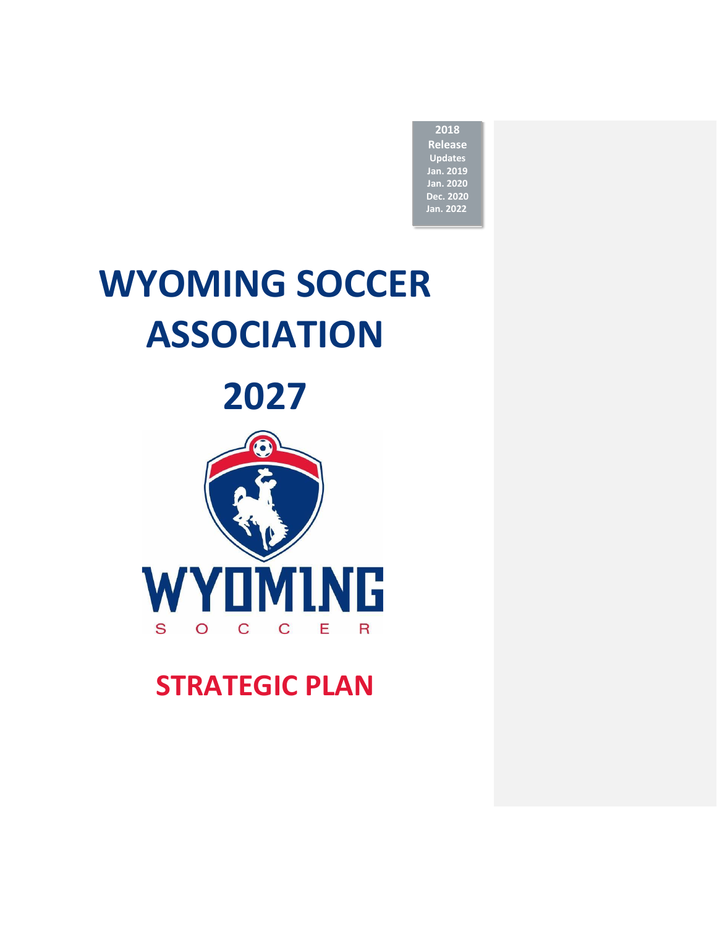**2018 Release Updates Jan. 2019 Jan. 2020 Dec. 2020 Jan. 2022**

# **WYOMING SOCCER ASSOCIATION**

**2027**



**STRATEGIC PLAN**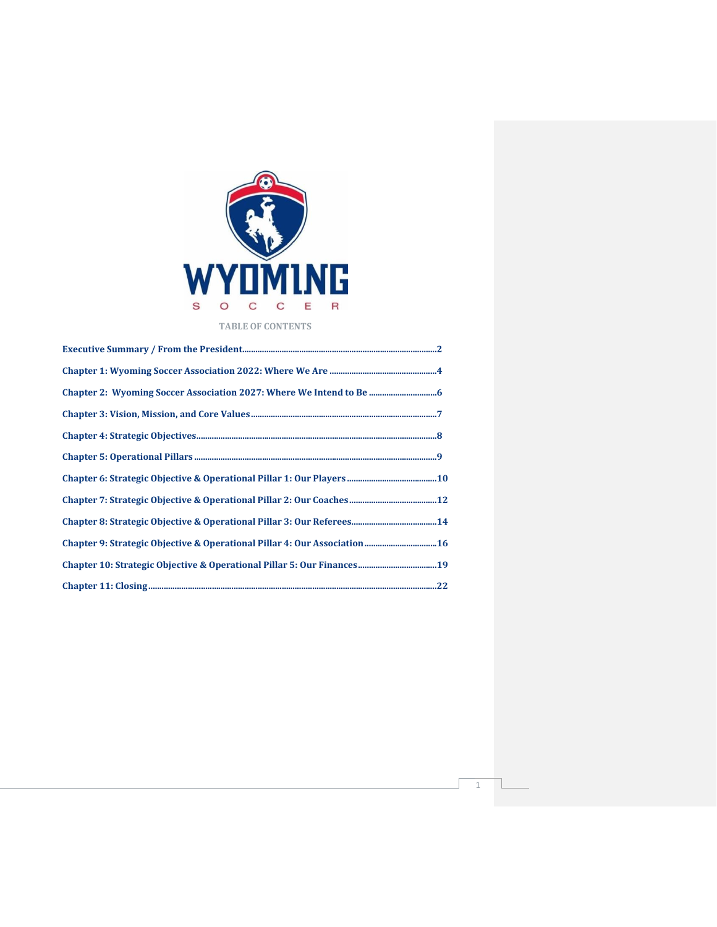

# **TABLE OF CONTENTS**

| Chapter 9: Strategic Objective & Operational Pillar 4: Our Association  16 |  |
|----------------------------------------------------------------------------|--|
|                                                                            |  |
|                                                                            |  |

1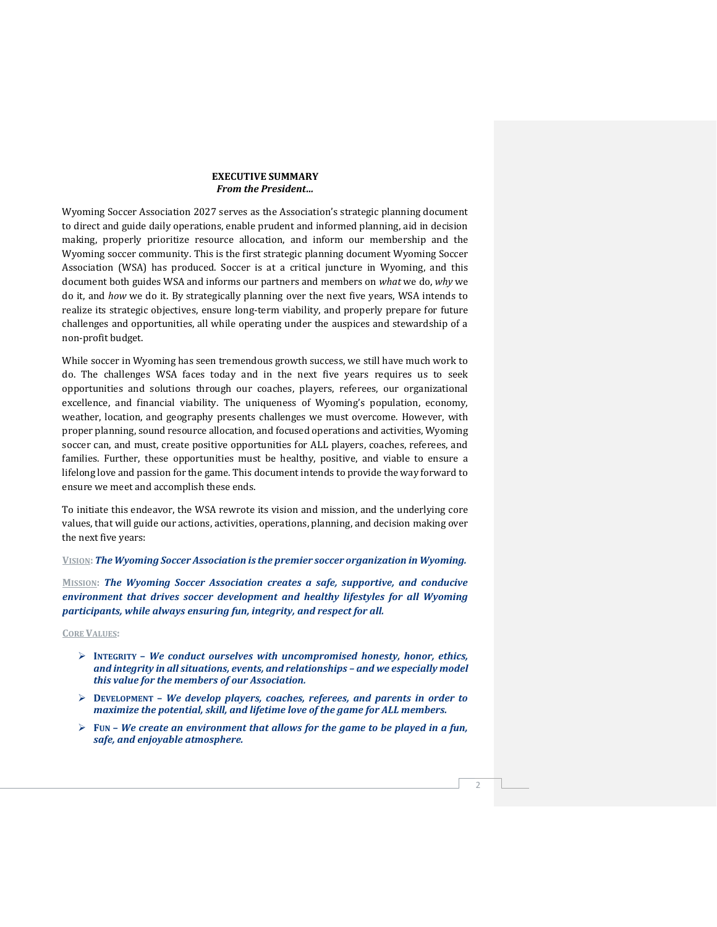# **EXECUTIVE SUMMARY** *From the President…*

Wyoming Soccer Association 2027 serves as the Association's strategic planning document to direct and guide daily operations, enable prudent and informed planning, aid in decision making, properly prioritize resource allocation, and inform our membership and the Wyoming soccer community. This is the first strategic planning document Wyoming Soccer Association (WSA) has produced. Soccer is at a critical juncture in Wyoming, and this document both guides WSA and informs our partners and members on *what* we do, *why* we do it, and *how* we do it. By strategically planning over the next five years, WSA intends to realize its strategic objectives, ensure long-term viability, and properly prepare for future challenges and opportunities, all while operating under the auspices and stewardship of a non-profit budget.

While soccer in Wyoming has seen tremendous growth success, we still have much work to do. The challenges WSA faces today and in the next five years requires us to seek opportunities and solutions through our coaches, players, referees, our organizational excellence, and financial viability. The uniqueness of Wyoming's population, economy, weather, location, and geography presents challenges we must overcome. However, with proper planning, sound resource allocation, and focused operations and activities, Wyoming soccer can, and must, create positive opportunities for ALL players, coaches, referees, and families. Further, these opportunities must be healthy, positive, and viable to ensure a lifelong love and passion for the game. This document intends to provide the way forward to ensure we meet and accomplish these ends.

To initiate this endeavor, the WSA rewrote its vision and mission, and the underlying core values, that will guide our actions, activities, operations, planning, and decision making over the next five years:

#### **VISION:** *The Wyoming Soccer Association is the premier soccer organization in Wyoming.*

**MISSION:** *The Wyoming Soccer Association creates a safe, supportive, and conducive environment that drives soccer development and healthy lifestyles for all Wyoming participants, while always ensuring fun, integrity, and respect for all.*

#### **CORE VALUES:**

- ➢ **INTEGRITY –** *We conduct ourselves with uncompromised honesty, honor, ethics, and integrity in all situations, events, and relationships – and we especially model this value for the members of our Association.*
- ➢ **DEVELOPMENT –** *We develop players, coaches, referees, and parents in order to maximize the potential, skill, and lifetime love of the game for ALL members.*
- ➢ **FUN –** *We create an environment that allows for the game to be played in a fun, safe, and enjoyable atmosphere.*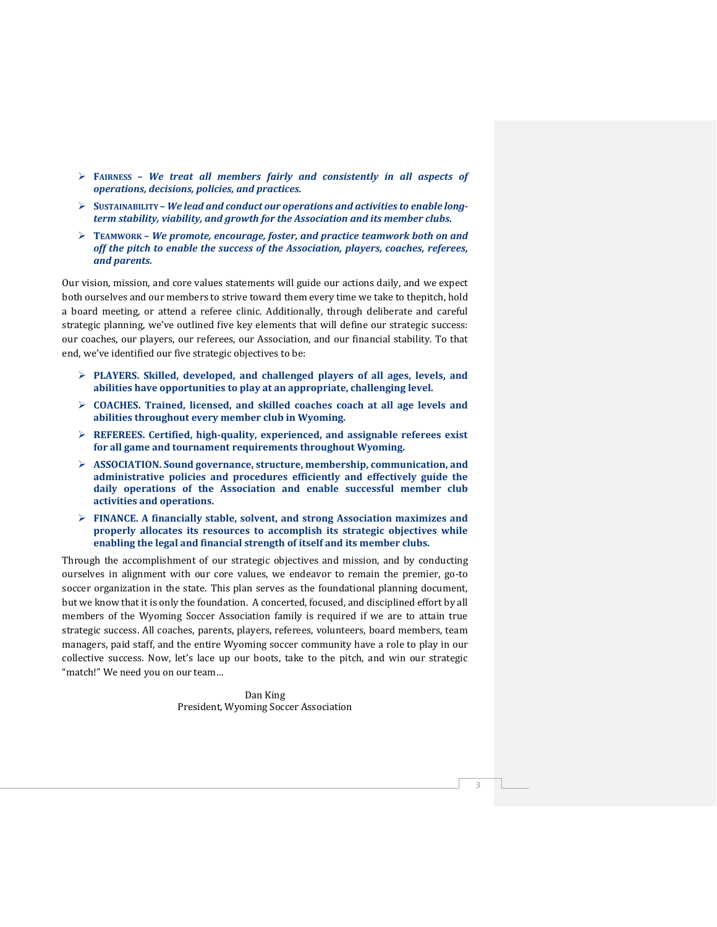- ➢ **FAIRNESS –** *We treat all members fairly and consistently in all aspects of operations, decisions, policies, and practices.*
- ➢ **SUSTAINABILITY –** *We lead and conduct our operations and activities to enable longterm stability, viability, and growth for the Association and its member clubs.*
- ➢ **TEAMWORK –** *We promote, encourage, foster, and practice teamwork both on and off the pitch to enable the success of the Association, players, coaches, referees, and parents.*

Our vision, mission, and core values statements will guide our actions daily, and we expect both ourselves and our members to strive toward them every time we take to thepitch, hold a board meeting, or attend a referee clinic. Additionally, through deliberate and careful strategic planning, we've outlined five key elements that will define our strategic success: our coaches, our players, our referees, our Association, and our financial stability. To that end, we've identified our five strategic objectives to be:

- ➢ **PLAYERS. Skilled, developed, and challenged players of all ages, levels, and abilities have opportunities to play at an appropriate, challenging level.**
- ➢ **COACHES. Trained, licensed, and skilled coaches coach at all age levels and abilities throughout every member club in Wyoming.**
- ➢ **REFEREES. Certified, high-quality, experienced, and assignable referees exist for all game and tournament requirements throughout Wyoming.**
- ➢ **ASSOCIATION. Sound governance, structure, membership, communication, and administrative policies and procedures efficiently and effectively guide the daily operations of the Association and enable successful member club activities and operations.**
- ➢ **FINANCE. A financially stable, solvent, and strong Association maximizes and properly allocates its resources to accomplish its strategic objectives while enabling the legal and financial strength of itself and its member clubs.**

Through the accomplishment of our strategic objectives and mission, and by conducting ourselves in alignment with our core values, we endeavor to remain the premier, go-to soccer organization in the state. This plan serves as the foundational planning document, but we know that it is only the foundation. A concerted, focused, and disciplined effort by all members of the Wyoming Soccer Association family is required if we are to attain true strategic success. All coaches, parents, players, referees, volunteers, board members, team managers, paid staff, and the entire Wyoming soccer community have a role to play in our collective success. Now, let's lace up our boots, take to the pitch, and win our strategic "match!" We need you on our team…

> Dan King President, Wyoming Soccer Association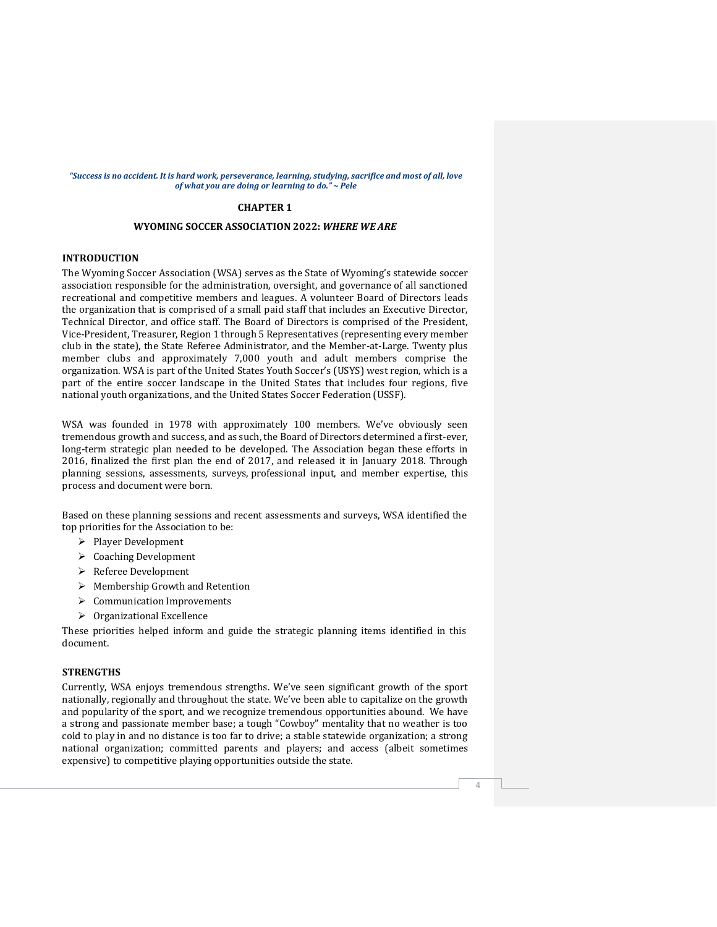#### "Success is no accident. It is hard work, perseverance, learning, studying, sacrifice and most of all, love *of what you are doing or learning to do." ~ Pele*

# **CHAPTER 1**

# **WYOMING SOCCER ASSOCIATION 2022:** *WHERE WE ARE*

# **INTRODUCTION**

The Wyoming Soccer Association (WSA) serves as the State of Wyoming's statewide soccer association responsible for the administration, oversight, and governance of all sanctioned recreational and competitive members and leagues. A volunteer Board of Directors leads the organization that is comprised of a small paid staff that includes an Executive Director, Technical Director, and office staff. The Board of Directors is comprised of the President, Vice-President, Treasurer, Region 1 through 5 Representatives (representing every member club in the state), the State Referee Administrator, and the Member-at-Large. Twenty plus member clubs and approximately 7,000 youth and adult members comprise the organization. WSA is part of the United States Youth Soccer's (USYS) west region, which is a part of the entire soccer landscape in the United States that includes four regions, five national youth organizations, and the United States Soccer Federation (USSF).

WSA was founded in 1978 with approximately 100 members. We've obviously seen tremendous growth and success, and as such, the Board of Directors determined a first-ever, long-term strategic plan needed to be developed. The Association began these efforts in 2016, finalized the first plan the end of 2017, and released it in January 2018. Through planning sessions, assessments, surveys, professional input, and member expertise, this process and document were born.

Based on these planning sessions and recent assessments and surveys, WSA identified the top priorities for the Association to be:

- ➢ Player Development
- ➢ Coaching Development
- ➢ Referee Development
- ➢ Membership Growth and Retention
- ➢ Communication Improvements
- ➢ Organizational Excellence

These priorities helped inform and guide the strategic planning items identified in this document.

# **STRENGTHS**

Currently, WSA enjoys tremendous strengths. We've seen significant growth of the sport nationally, regionally and throughout the state. We've been able to capitalize on the growth and popularity of the sport, and we recognize tremendous opportunities abound. We have a strong and passionate member base; a tough "Cowboy" mentality that no weather is too cold to play in and no distance is too far to drive; a stable statewide organization; a strong national organization; committed parents and players; and access (albeit sometimes expensive) to competitive playing opportunities outside the state.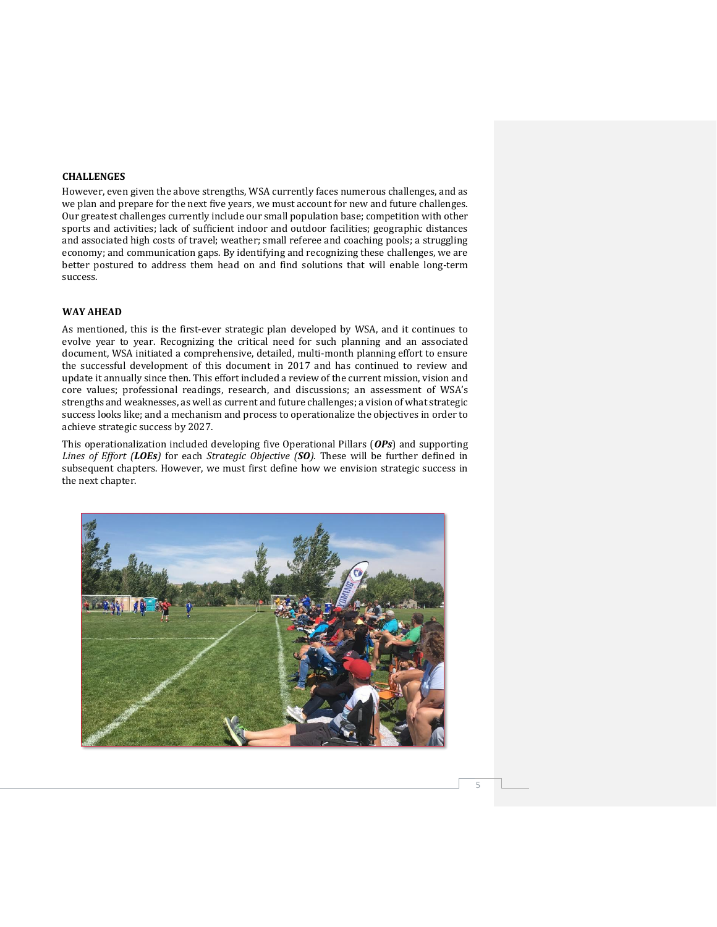# **CHALLENGES**

However, even given the above strengths, WSA currently faces numerous challenges, and as we plan and prepare for the next five years, we must account for new and future challenges. Our greatest challenges currently include our small population base; competition with other sports and activities; lack of sufficient indoor and outdoor facilities; geographic distances and associated high costs of travel; weather; small referee and coaching pools; a struggling economy; and communication gaps. By identifying and recognizing these challenges, we are better postured to address them head on and find solutions that will enable long-term success.

#### **WAY AHEAD**

As mentioned, this is the first-ever strategic plan developed by WSA, and it continues to evolve year to year. Recognizing the critical need for such planning and an associated document, WSA initiated a comprehensive, detailed, multi-month planning effort to ensure the successful development of this document in 2017 and has continued to review and update it annually since then. This effort included a review of the current mission, vision and core values; professional readings, research, and discussions; an assessment of WSA's strengths and weaknesses, as well as current and future challenges; a vision of what strategic success looks like; and a mechanism and process to operationalize the objectives in order to achieve strategic success by 2027.

This operationalization included developing five Operational Pillars (*OPs*) and supporting *Lines of Effort (LOEs)* for each *Strategic Objective (SO)*. These will be further defined in subsequent chapters. However, we must first define how we envision strategic success in the next chapter.

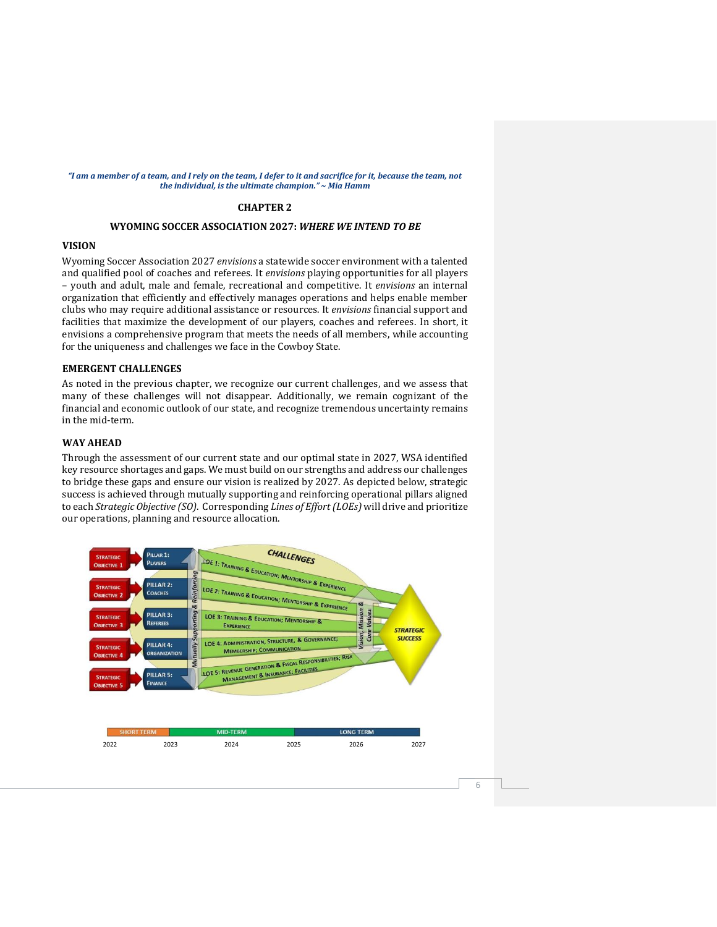#### "I am a member of a team, and I rely on the team, I defer to it and sacrifice for it, because the team, not *the individual, is the ultimate champion." ~ Mia Hamm*

# **CHAPTER 2**

# **WYOMING SOCCER ASSOCIATION 2027:** *WHERE WE INTEND TO BE*

# **VISION**

Wyoming Soccer Association 2027 *envisions* a statewide soccer environment with a talented and qualified pool of coaches and referees. It *envisions* playing opportunities for all players – youth and adult, male and female, recreational and competitive. It *envisions* an internal organization that efficiently and effectively manages operations and helps enable member clubs who may require additional assistance or resources. It *envisions* financial support and facilities that maximize the development of our players, coaches and referees. In short, it envisions a comprehensive program that meets the needs of all members, while accounting for the uniqueness and challenges we face in the Cowboy State.

# **EMERGENT CHALLENGES**

As noted in the previous chapter, we recognize our current challenges, and we assess that many of these challenges will not disappear. Additionally, we remain cognizant of the financial and economic outlook of our state, and recognize tremendous uncertainty remains in the mid-term.

# **WAY AHEAD**

Through the assessment of our current state and our optimal state in 2027, WSA identified key resource shortages and gaps. We must build on our strengths and address our challenges to bridge these gaps and ensure our vision is realized by 2027. As depicted below, strategic success is achieved through mutually supporting and reinforcing operational pillars aligned to each *Strategic Objective (SO)*. Corresponding *Lines of Effort (LOEs)* will drive and prioritize our operations, planning and resource allocation.

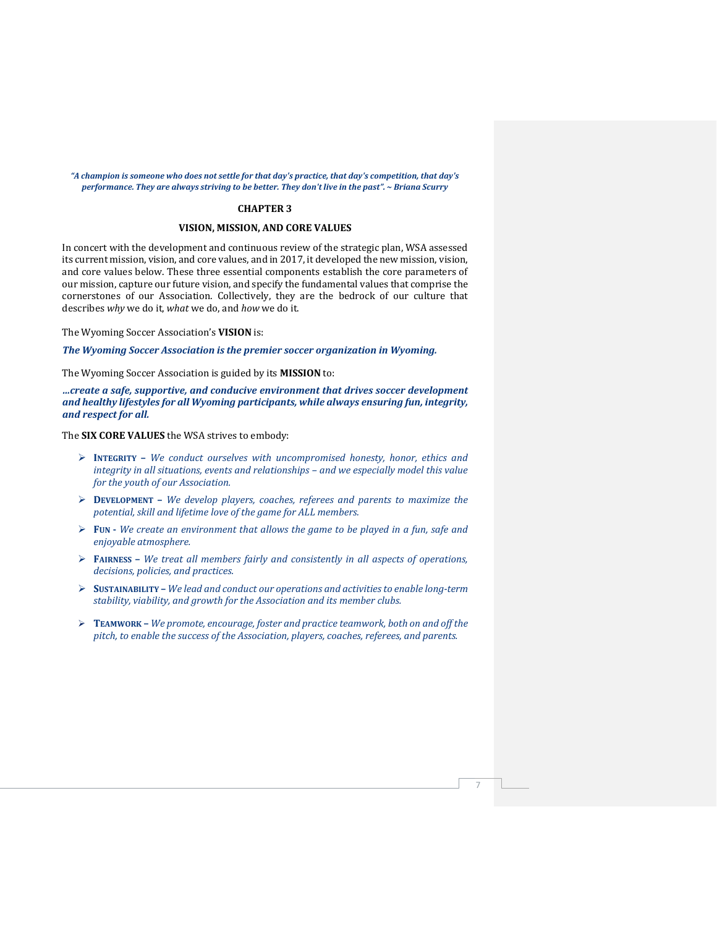#### *"A champion is someone who does not settle for that day's practice, that day's competition, that day's performance. They are always striving to be better. They don't live in the past". ~ Briana Scurry*

# **CHAPTER 3**

#### **VISION, MISSION, AND CORE VALUES**

In concert with the development and continuous review of the strategic plan, WSA assessed its current mission, vision, and core values, and in 2017, it developed the new mission, vision, and core values below. These three essential components establish the core parameters of our mission, capture our future vision, and specify the fundamental values that comprise the cornerstones of our Association. Collectively, they are the bedrock of our culture that describes *why* we do it, *what* we do, and *how* we do it.

The Wyoming Soccer Association's **VISION** is:

*The Wyoming Soccer Association is the premier soccer organization in Wyoming.*

The Wyoming Soccer Association is guided by its **MISSION** to:

*…create a safe, supportive, and conducive environment that drives soccer development and healthy lifestyles for all Wyoming participants, while always ensuring fun, integrity, and respect for all.*

The **SIX CORE VALUES** the WSA strives to embody:

- ➢ **INTEGRITY –** *We conduct ourselves with uncompromised honesty, honor, ethics and integrity in all situations, events and relationships - and we especially model this value for the youth of our Association.*
- ➢ **DEVELOPMENT –** *We develop players, coaches, referees and parents to maximize the potential, skill and lifetime love of the game for ALL members.*
- ➢ **FUN -** *We create an environment that allows the game to be played in a fun, safe and enjoyable atmosphere.*
- ➢ **FAIRNESS –** *We treat all members fairly and consistently in all aspects of operations, decisions, policies, and practices.*
- ➢ **SUSTAINABILITY –** *We lead and conduct our operations and activitiesto enable long-term stability, viability, and growth for the Association and its member clubs.*
- ➢ **TEAMWORK –** *We promote, encourage, foster and practice teamwork, both on and off the pitch, to enable the success of the Association, players, coaches, referees, and parents.*

7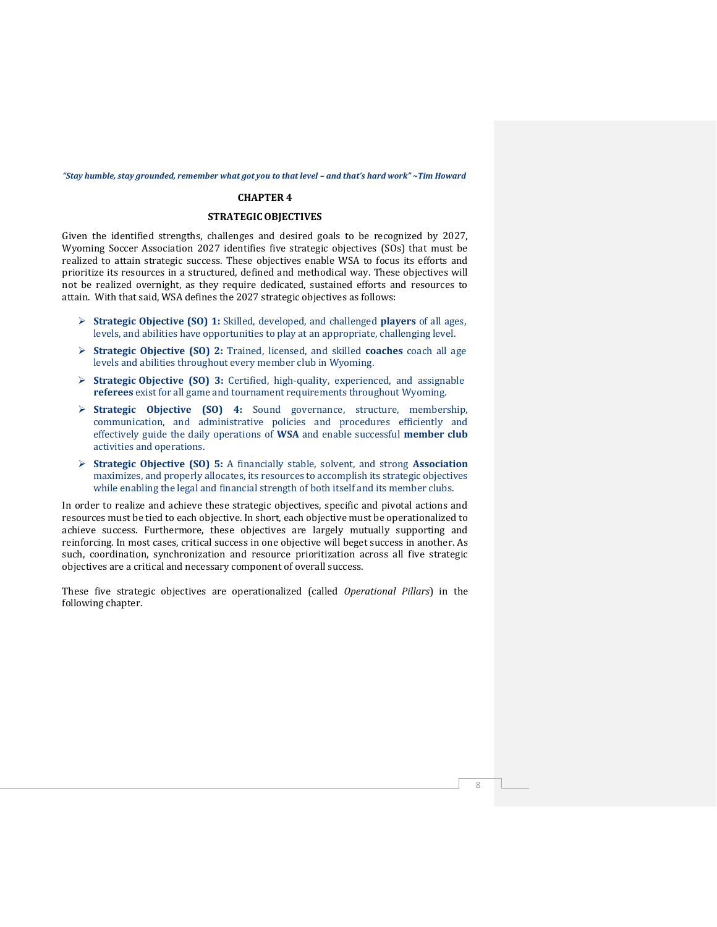#### <span id="page-8-0"></span>"Stay humble, stay grounded, remember what got you to that level - and that's hard work" ~ Tim Howard

#### **CHAPTER 4**

# **STRATEGICOBJECTIVES**

Given the identified strengths, challenges and desired goals to be recognized by 2027, Wyoming Soccer Association 2027 identifies five strategic objectives (SOs) that must be realized to attain strategic success. These objectives enable WSA to focus its efforts and prioritize its resources in a structured, defined and methodical way. These objectives will not be realized overnight, as they require dedicated, sustained efforts and resources to attain. With that said, WSA defines the 2027 strategic objectives as follows:

- ➢ **Strategic Objective (SO) 1:** Skilled, developed, and challenged **players** of all ages, levels, and abilities have opportunities to play at an appropriate, challenging level.
- ➢ **Strategic Objective (SO) 2:** Trained, licensed, and skilled **coaches** coach all age levels and abilities throughout every member club in Wyoming.
- ➢ **Strategic Objective (SO) 3:** Certified, high-quality, experienced, and assignable **referees** exist for all game and tournament requirements throughout Wyoming.
- ➢ **Strategic Objective (SO) 4:** Sound governance, structure, membership, communication, and administrative policies and procedures efficiently and effectively guide the daily operations of **WSA** and enable successful **member club** activities and operations.
- ➢ **Strategic Objective (SO) 5:** A financially stable, solvent, and strong **Association** maximizes, and properly allocates, its resources to accomplish its strategic objectives while enabling the legal and financial strength of both itself and its member clubs.

In order to realize and achieve these strategic objectives, specific and pivotal actions and resources must be tied to each objective. In short, each objective must be operationalized to achieve success. Furthermore, these objectives are largely mutually supporting and reinforcing. In most cases, critical success in one objective will beget success in another. As such, coordination, synchronization and resource prioritization across all five strategic objectives are a critical and necessary component of overall success.

These five strategic objectives are operationalized (called *Operational Pillars*) in the following chapter.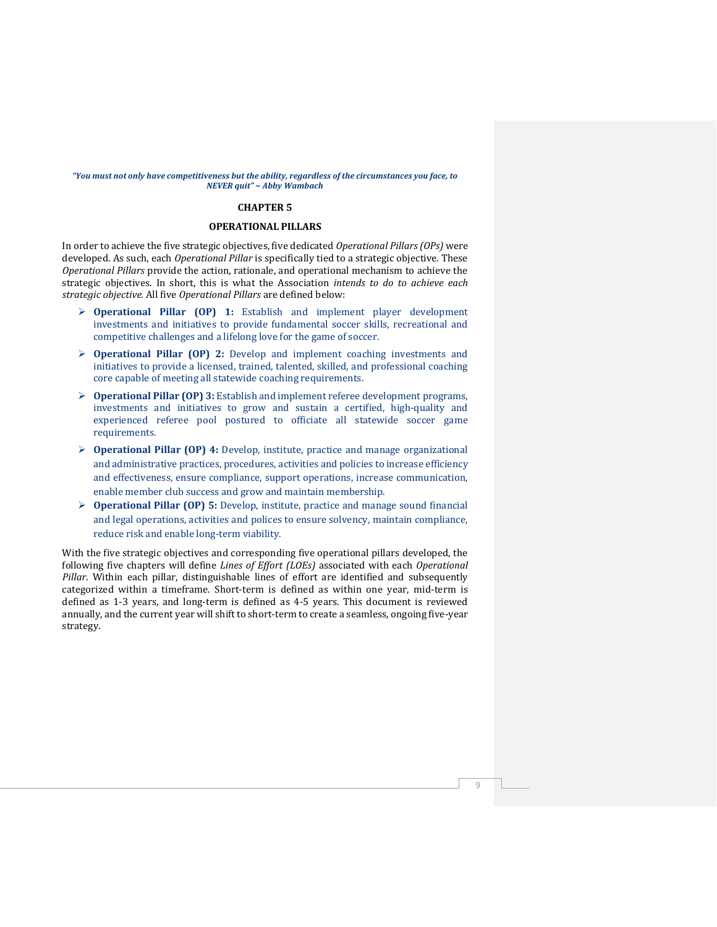#### <span id="page-9-0"></span>*"You must not only have competitiveness but the ability, regardless of the circumstances you face, to NEVER quit" ~ Abby Wambach*

#### **CHAPTER 5**

# **OPERATIONAL PILLARS**

In order to achieve the five strategic objectives, five dedicated *Operational Pillars(OPs)* were developed. As such, each *Operational Pillar* is specifically tied to a strategic objective. These *Operational Pillars* provide the action, rationale, and operational mechanism to achieve the strategic objectives. In short, this is what the Association *intends to do to achieve each strategic objective.* All five *Operational Pillars* are defined below:

- ➢ **Operational Pillar (OP) 1:** Establish and implement player development investments and initiatives to provide fundamental soccer skills, recreational and competitive challenges and a lifelong love for the game of soccer.
- ➢ **Operational Pillar (OP) 2:** Develop and implement coaching investments and initiatives to provide a licensed, trained, talented, skilled, and professional coaching core capable of meeting all statewide coaching requirements.
- ➢ **Operational Pillar (OP) 3:** Establish and implement referee development programs, investments and initiatives to grow and sustain a certified, high-quality and experienced referee pool postured to officiate all statewide soccer game requirements.
- ➢ **Operational Pillar (OP) 4:** Develop, institute, practice and manage organizational and administrative practices, procedures, activities and policies to increase efficiency and effectiveness, ensure compliance, support operations, increase communication, enable member club success and grow and maintain membership.
- ➢ **Operational Pillar (OP) 5:** Develop, institute, practice and manage sound financial and legal operations, activities and polices to ensure solvency, maintain compliance, reduce risk and enable long-term viability.

With the five strategic objectives and corresponding five operational pillars developed, the following five chapters will define *Lines of Effort (LOEs)* associated with each *Operational Pillar*. Within each pillar, distinguishable lines of effort are identified and subsequently categorized within a timeframe. Short-term is defined as within one year, mid-term is defined as 1-3 years, and long-term is defined as 4-5 years. This document is reviewed annually, and the current year will shift to short-term to create a seamless, ongoing five-year strategy.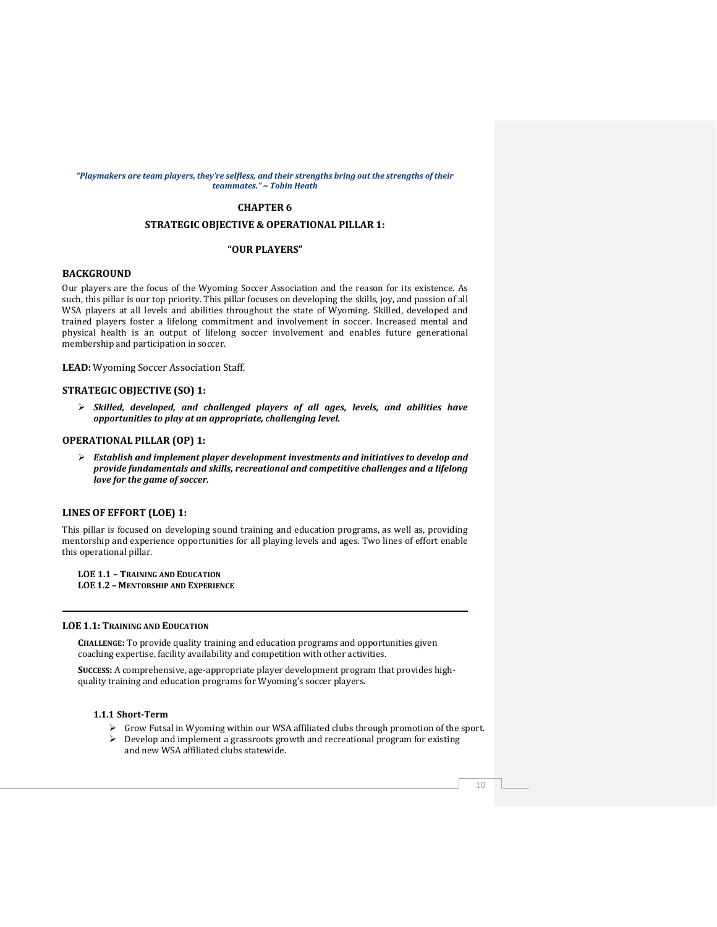#### *"Playmakers are team players, they're selfless, and their strengths bring out the strengths of their teammates." ~ Tobin Heath*

# **CHAPTER 6**

# **STRATEGIC OBJECTIVE & OPERATIONAL PILLAR 1:**

#### **"OUR PLAYERS"**

#### **BACKGROUND**

Our players are the focus of the Wyoming Soccer Association and the reason for its existence. As such, this pillar is our top priority. This pillar focuses on developing the skills, joy, and passion of all WSA players at all levels and abilities throughout the state of Wyoming. Skilled, developed and trained players foster a lifelong commitment and involvement in soccer. Increased mental and physical health is an output of lifelong soccer involvement and enables future generational membership and participation in soccer.

**LEAD:** Wyoming Soccer Association Staff.

### **STRATEGIC OBJECTIVE (SO) 1:**

➢ *Skilled, developed, and challenged players of all ages, levels, and abilities have opportunities to play at an appropriate, challenging level.*

#### **OPERATIONAL PILLAR (OP) 1:**

➢ *Establish and implement player development investments and initiatives to develop and provide fundamentals and skills, recreational and competitive challenges and a lifelong love for the game of soccer.*

#### **LINES OF EFFORT (LOE) 1:**

This pillar is focused on developing sound training and education programs, as well as, providing mentorship and experience opportunities for all playing levels and ages. Two lines of effort enable this operational pillar.

**LOE 1.1 – TRAINING AND EDUCATION LOE 1.2 – MENTORSHIP AND EXPERIENCE**

#### **LOE 1.1: TRAINING AND EDUCATION**

**CHALLENGE:** To provide quality training and education programs and opportunities given coaching expertise, facility availability and competition with other activities.

**SUCCESS:** A comprehensive, age-appropriate player development program that provides highquality training and education programs for Wyoming's soccer players.

# **1.1.1 Short-Term**

- ➢ Grow Futsal in Wyoming within our WSA affiliated clubs through promotion of the sport.
- ➢ Develop and implement a grassroots growth and recreational program for existing and new WSA affiliated clubs statewide.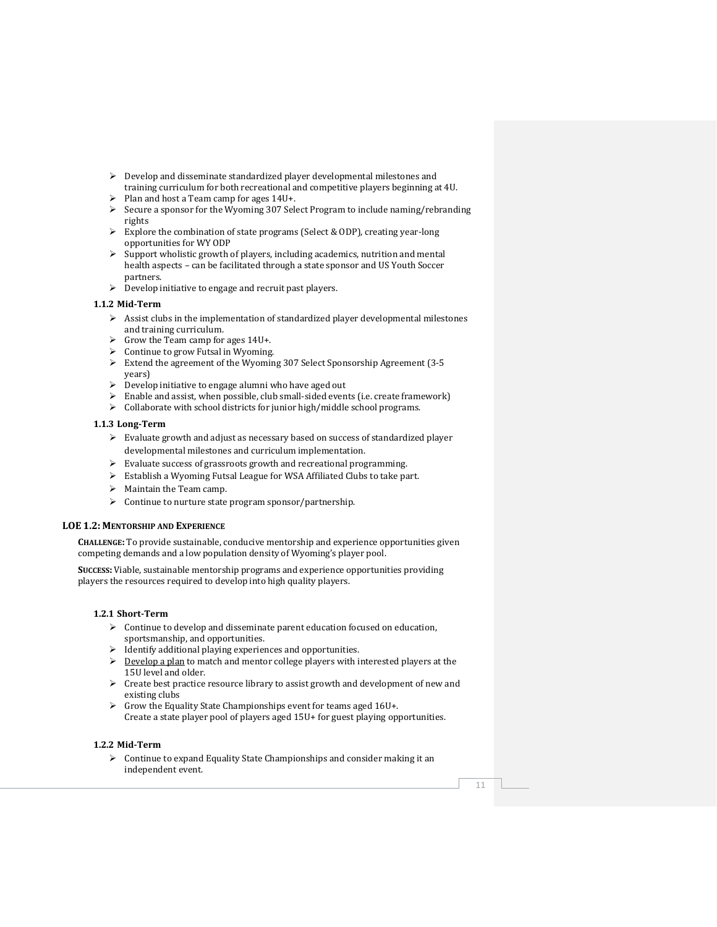- $\triangleright$  Develop and disseminate standardized player developmental milestones and training curriculum for both recreational and competitive players beginning at 4U.
- ➢ Plan and host a Team camp for ages 14U+.
- $\triangleright$  Secure a sponsor for the Wyoming 307 Select Program to include naming/rebranding rights
- $\triangleright$  Explore the combination of state programs (Select & ODP), creating year-long opportunities for WY ODP
- $\triangleright$  Support wholistic growth of players, including academics, nutrition and mental health aspects – can be facilitated through a state sponsor and US Youth Soccer partners.
- ➢ Develop initiative to engage and recruit past players.

#### **1.1.2 Mid-Term**

- $\triangleright$  Assist clubs in the implementation of standardized player developmental milestones and training curriculum.
- $\triangleright$  Grow the Team camp for ages 14U+.
- ➢ Continue to grow Futsal in Wyoming.
- ➢ Extend the agreement of the Wyoming 307 Select Sponsorship Agreement (3-5 years)
- ➢ Develop initiative to engage alumni who have aged out
- Enable and assist, when possible, club small-sided events (i.e. create framework)
- ➢ Collaborate with school districts for junior high/middle school programs.

#### **1.1.3 Long-Term**

- ➢ Evaluate growth and adjust as necessary based on success of standardized player developmental milestones and curriculum implementation.
- ➢ Evaluate success of grassroots growth and recreational programming.
- ➢ Establish a Wyoming Futsal League for WSA Affiliated Clubs to take part.
- $\triangleright$  Maintain the Team camp.
- ➢ Continue to nurture state program sponsor/partnership.

#### **LOE 1.2: MENTORSHIP AND EXPERIENCE**

**CHALLENGE:** To provide sustainable, conducive mentorship and experience opportunities given competing demands and a low population density of Wyoming's player pool.

**SUCCESS:** Viable, sustainable mentorship programs and experience opportunities providing players the resources required to develop into high quality players.

#### **1.2.1 Short-Term**

- ➢ Continue to develop and disseminate parent education focused on education, sportsmanship, and opportunities.
- ➢ Identify additional playing experiences and opportunities.
- $\triangleright$  Develop a plan to match and mentor college players with interested players at the 15U level and older.
- ➢ Create best practice resource library to assist growth and development of new and existing clubs
- ➢ Grow the Equality State Championships event for teams aged 16U+. Create a state player pool of players aged 15U+ for guest playing opportunities.

#### **1.2.2 Mid-Term**

➢ Continue to expand Equality State Championships and consider making it an independent event.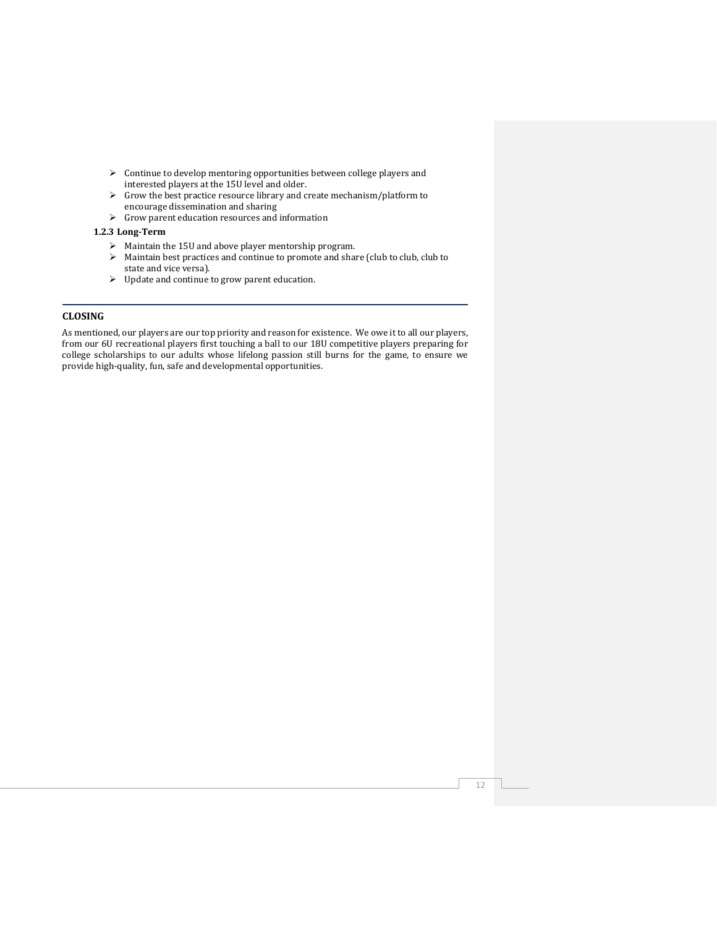- ➢ Continue to develop mentoring opportunities between college players and interested players at the 15U level and older.
- ➢ Grow the best practice resource library and create mechanism/platform to encourage dissemination and sharing
- $\blacktriangleright$  Grow parent education resources and information

# **1.2.3 Long-Term**

- ➢ Maintain the 15U and above player mentorship program.
- ➢ Maintain best practices and continue to promote and share (club to club, club to state and vice versa).
- ➢ Update and continue to grow parent education.

# **CLOSING**

As mentioned, our players are our top priority and reason for existence. We owe it to all our players, from our 6U recreational players first touching a ball to our 18U competitive players preparing for college scholarships to our adults whose lifelong passion still burns for the game, to ensure we provide high-quality, fun, safe and developmental opportunities.

12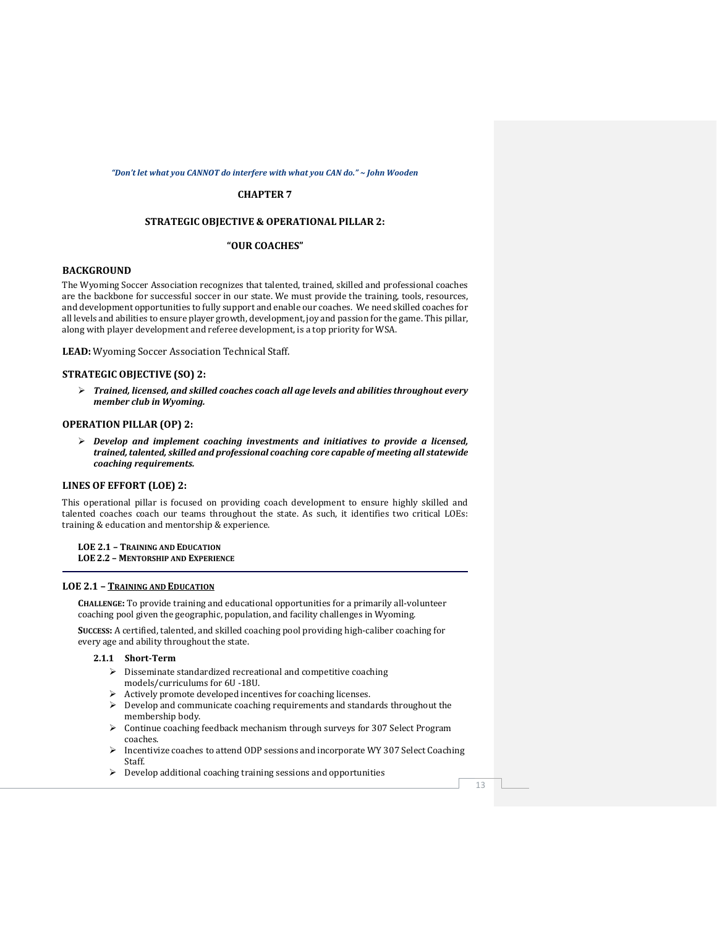#### *"Don't let what you CANNOT do interfere with what you CAN do." ~ John Wooden*

#### **CHAPTER 7**

# **STRATEGIC OBJECTIVE & OPERATIONAL PILLAR 2:**

#### **"OUR COACHES"**

# **BACKGROUND**

The Wyoming Soccer Association recognizes that talented, trained, skilled and professional coaches are the backbone for successful soccer in our state. We must provide the training, tools, resources, and development opportunities to fully support and enable our coaches. We need skilled coaches for all levels and abilities to ensure player growth, development, joy and passion for the game. This pillar, along with player development and referee development, is a top priority for WSA.

**LEAD:** Wyoming Soccer Association Technical Staff.

#### **STRATEGIC OBJECTIVE (SO) 2:**

➢ *Trained, licensed, and skilled coaches coach all age levels and abilities throughout every member club in Wyoming.*

#### **OPERATION PILLAR (OP) 2:**

➢ *Develop and implement coaching investments and initiatives to provide a licensed, trained,talented, skilled and professional coaching core capable of meeting all statewide coaching requirements.*

#### **LINES OF EFFORT (LOE) 2:**

This operational pillar is focused on providing coach development to ensure highly skilled and talented coaches coach our teams throughout the state. As such, it identifies two critical LOEs: training & education and mentorship & experience.

#### **LOE 2.1 – TRAINING AND EDUCATION LOE 2.2 – MENTORSHIP AND EXPERIENCE**

#### **LOE 2.1 – TRAINING AND EDUCATION**

**CHALLENGE:** To provide training and educational opportunities for a primarily all-volunteer coaching pool given the geographic, population, and facility challenges in Wyoming.

**SUCCESS:** A certified, talented, and skilled coaching pool providing high-caliber coaching for every age and ability throughout the state.

# **2.1.1 Short-Term**

- ➢ Disseminate standardized recreational and competitive coaching models/curriculums for 6U -18U.
- ➢ Actively promote developed incentives for coaching licenses.
- ➢ Develop and communicate coaching requirements and standards throughout the membership body.
- ➢ Continue coaching feedback mechanism through surveys for 307 Select Program coaches.
- $\triangleright$  Incentivize coaches to attend ODP sessions and incorporate WY 307 Select Coaching Staff.
- ➢ Develop additional coaching training sessions and opportunities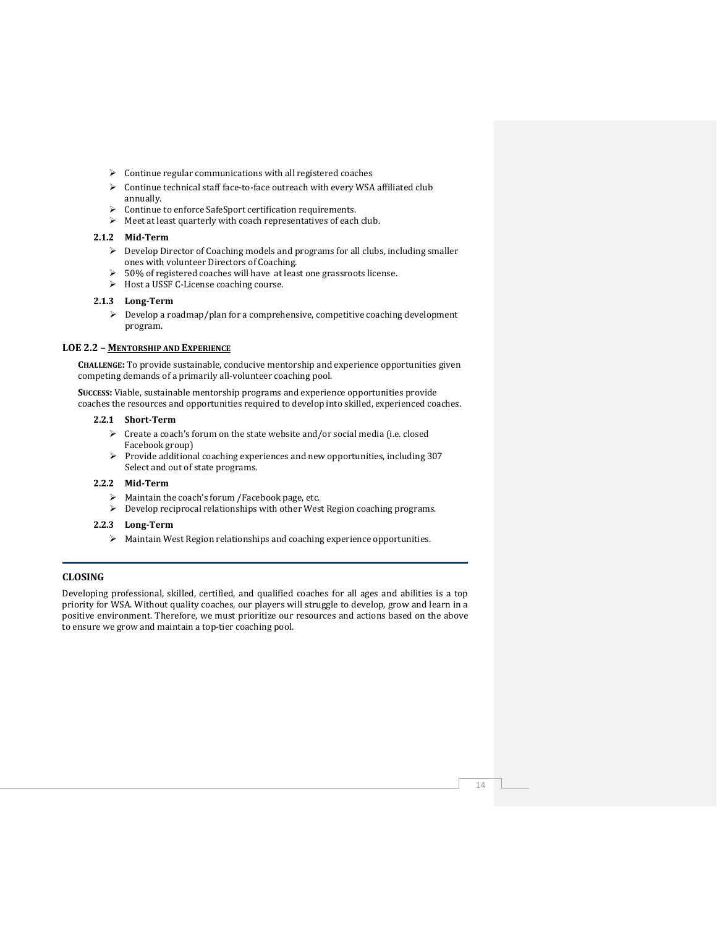- ➢ Continue regular communications with all registered coaches
- ➢ Continue technical staff face-to-face outreach with every WSA affiliated club annually.
- ➢ Continue to enforce SafeSport certification requirements.
- ➢ Meet at least quarterly with coach representatives of each club.

# **2.1.2 Mid-Term**

- ➢ Develop Director of Coaching models and programs for all clubs, including smaller ones with volunteer Directors of Coaching.
- ➢ 50% of registered coaches will have at least one grassroots license.
- ➢ Host a USSF C-License coaching course.

#### **2.1.3 Long-Term**

➢ Develop a roadmap/plan for a comprehensive, competitive coaching development program.

### **LOE 2.2 – MENTORSHIP AND EXPERIENCE**

**CHALLENGE:** To provide sustainable, conducive mentorship and experience opportunities given competing demands of a primarily all-volunteer coaching pool.

**SUCCESS:** Viable, sustainable mentorship programs and experience opportunities provide coaches the resources and opportunities required to develop into skilled, experienced coaches.

#### **2.2.1 Short-Term**

- ➢ Create a coach's forum on the state website and/or social media (i.e. closed Facebook group)
- ➢ Provide additional coaching experiences and new opportunities, including 307 Select and out of state programs.

#### **2.2.2 Mid-Term**

- ➢ Maintain the coach's forum /Facebook page, etc.
- ➢ Develop reciprocal relationships with other West Region coaching programs.

# **2.2.3 Long-Term**

➢ Maintain West Region relationships and coaching experience opportunities.

# **CLOSING**

Developing professional, skilled, certified, and qualified coaches for all ages and abilities is a top priority for WSA. Without quality coaches, our players will struggle to develop, grow and learn in a positive environment. Therefore, we must prioritize our resources and actions based on the above to ensure we grow and maintain a top-tier coaching pool.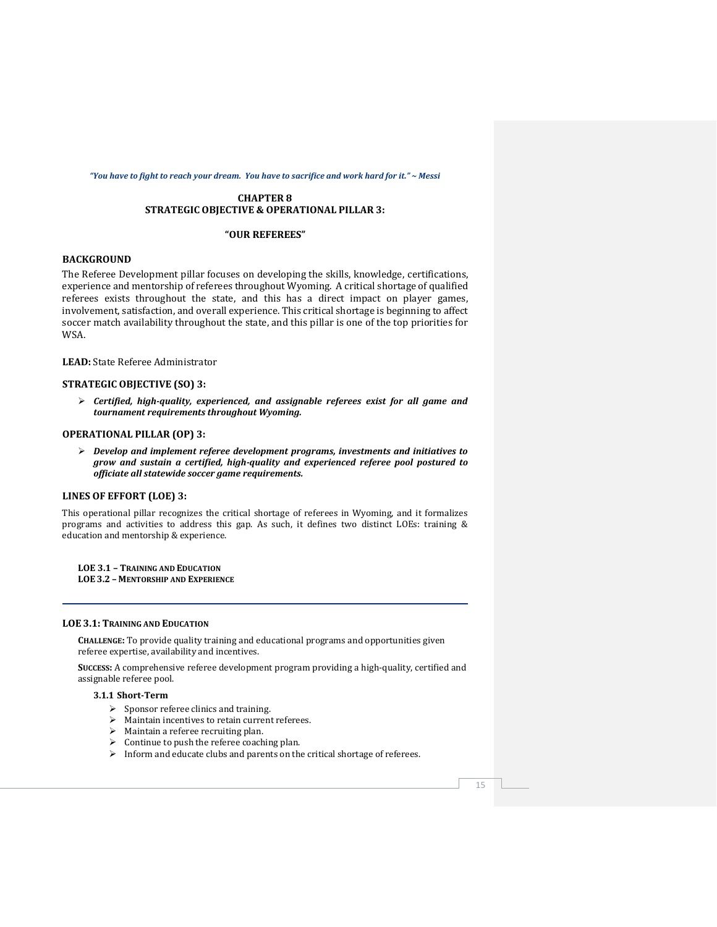#### *"You have to fight to reach your dream. You have to sacrifice and work hard for it." ~ Messi*

# **CHAPTER 8 STRATEGIC OBJECTIVE & OPERATIONAL PILLAR 3:**

#### **"OUR REFEREES"**

# **BACKGROUND**

The Referee Development pillar focuses on developing the skills, knowledge, certifications, experience and mentorship of referees throughout Wyoming. A critical shortage of qualified referees exists throughout the state, and this has a direct impact on player games, involvement, satisfaction, and overall experience. This critical shortage is beginning to affect soccer match availability throughout the state, and this pillar is one of the top priorities for WSA.

**LEAD:** State Referee Administrator

#### **STRATEGIC OBJECTIVE (SO) 3:**

➢ *Certified, high-quality, experienced, and assignable referees exist for all game and tournament requirements throughout Wyoming.*

#### **OPERATIONAL PILLAR (OP) 3:**

➢ *Develop and implement referee development programs, investments and initiatives to grow and sustain a certified, high-quality and experienced referee pool postured to officiate all statewide soccer game requirements.*

#### **LINES OF EFFORT (LOE) 3:**

This operational pillar recognizes the critical shortage of referees in Wyoming, and it formalizes programs and activities to address this gap. As such, it defines two distinct LOEs: training & education and mentorship & experience.

**LOE 3.1 – TRAINING AND EDUCATION LOE 3.2 – MENTORSHIP AND EXPERIENCE**

#### **LOE 3.1: TRAINING AND EDUCATION**

**CHALLENGE:** To provide quality training and educational programs and opportunities given referee expertise, availability and incentives.

**SUCCESS:** A comprehensive referee development program providing a high-quality, certified and assignable referee pool.

# **3.1.1 Short-Term**

- $\triangleright$  Sponsor referee clinics and training.
- ➢ Maintain incentives to retain current referees.
- ➢ Maintain a referee recruiting plan.
- ➢ Continue to push the referee coaching plan.
- ➢ Inform and educate clubs and parents on the critical shortage of referees.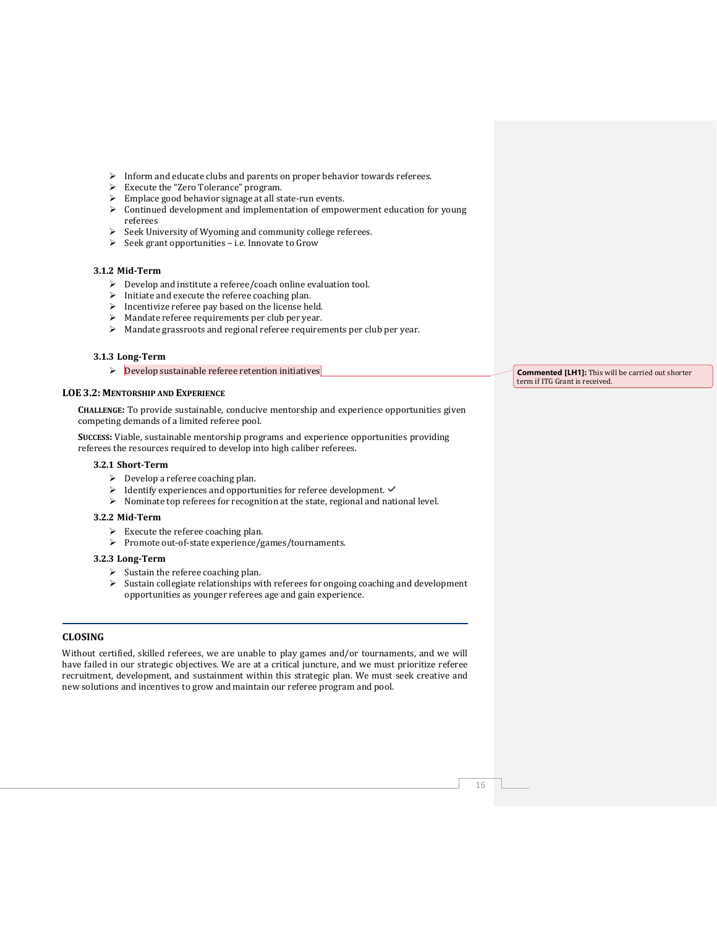- ➢ Inform and educate clubs and parents on proper behavior towards referees.
- ➢ Execute the "Zero Tolerance" program.
- ➢ Emplace good behavior signage at all state-run events.
- $\triangleright$  Continued development and implementation of empowerment education for young referees
- ➢ Seek University of Wyoming and community college referees.
- ➢ Seek grant opportunities i.e. Innovate to Grow

#### **3.1.2 Mid-Term**

- ➢ Develop and institute a referee/coach online evaluation tool.
- $\triangleright$  Initiate and execute the referee coaching plan.
- $\triangleright$  Incentivize referee pay based on the license held.
- ➢ Mandate referee requirements per club per year.
- ➢ Mandate grassroots and regional referee requirements per club per year.

#### **3.1.3 Long-Term**

➢ Develop sustainable referee retention initiatives

# **LOE 3.2: MENTORSHIP AND EXPERIENCE**

**CHALLENGE:** To provide sustainable, conducive mentorship and experience opportunities given competing demands of a limited referee pool.

**SUCCESS:** Viable, sustainable mentorship programs and experience opportunities providing referees the resources required to develop into high caliber referees.

#### **3.2.1 Short-Term**

- $\triangleright$  Develop a referee coaching plan.
- $\triangleright$  Identify experiences and opportunities for referee development.  $\checkmark$
- ➢ Nominate top referees for recognition at the state, regional and national level.

#### **3.2.2 Mid-Term**

- $\triangleright$  Execute the referee coaching plan.
- ➢ Promote out-of-state experience/games/tournaments.

#### **3.2.3 Long-Term**

- ➢ Sustain the referee coaching plan.
- $\triangleright$  Sustain collegiate relationships with referees for ongoing coaching and development opportunities as younger referees age and gain experience.

# **CLOSING**

Without certified, skilled referees, we are unable to play games and/or tournaments, and we will have failed in our strategic objectives. We are at a critical juncture, and we must prioritize referee recruitment, development, and sustainment within this strategic plan. We must seek creative and new solutions and incentives to grow and maintain our referee program and pool.

**Commented [LH1]:** This will be carried out shorter term if ITG Grant is received.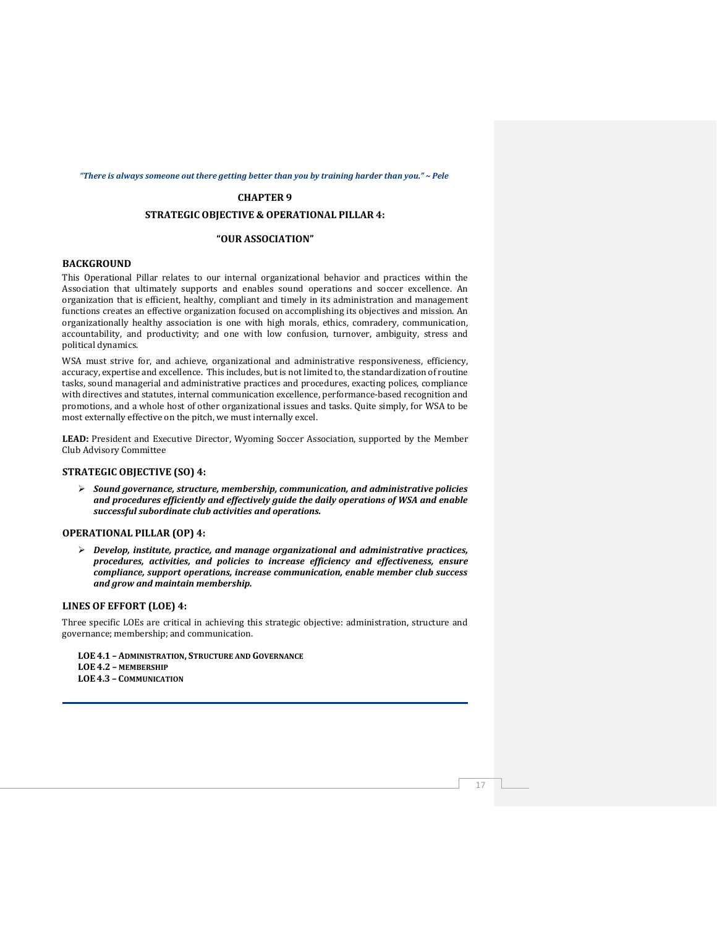#### *"There is always someone out there getting better than you by training harder than you." ~ Pele*

#### **CHAPTER 9**

# **STRATEGIC OBJECTIVE & OPERATIONAL PILLAR 4:**

# **"OUR ASSOCIATION"**

# **BACKGROUND**

This Operational Pillar relates to our internal organizational behavior and practices within the Association that ultimately supports and enables sound operations and soccer excellence. An organization that is efficient, healthy, compliant and timely in its administration and management functions creates an effective organization focused on accomplishing its objectives and mission. An organizationally healthy association is one with high morals, ethics, comradery, communication, accountability, and productivity; and one with low confusion, turnover, ambiguity, stress and political dynamics.

WSA must strive for, and achieve, organizational and administrative responsiveness, efficiency, accuracy, expertise and excellence. This includes, but is not limited to, the standardization of routine tasks, sound managerial and administrative practices and procedures, exacting polices, compliance with directives and statutes, internal communication excellence, performance-based recognition and promotions, and a whole host of other organizational issues and tasks. Quite simply, for WSA to be most externally effective on the pitch, we must internally excel.

**LEAD:** President and Executive Director, Wyoming Soccer Association, supported by the Member Club Advisory Committee

#### **STRATEGIC OBJECTIVE (SO) 4:**

➢ *Sound governance, structure, membership, communication, and administrative policies and procedures efficiently and effectively guide the daily operations of WSA and enable successful subordinate club activities and operations.*

#### **OPERATIONAL PILLAR (OP) 4:**

➢ *Develop, institute, practice, and manage organizational and administrative practices, procedures, activities, and policies to increase efficiency and effectiveness, ensure compliance, support operations, increase communication, enable member club success and grow and maintain membership.*

#### **LINES OF EFFORT (LOE) 4:**

Three specific LOEs are critical in achieving this strategic objective: administration, structure and governance; membership; and communication.

- **LOE 4.1 – ADMINISTRATION, STRUCTURE AND GOVERNANCE**
- **LOE 4.2 – MEMBERSHIP**

**LOE 4.3 – COMMUNICATION**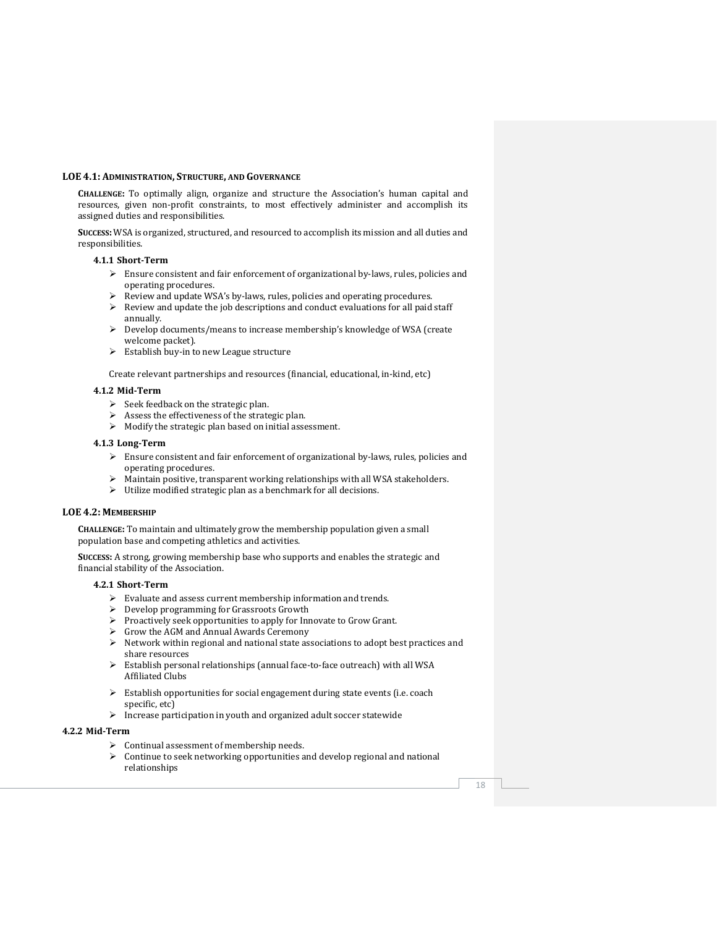#### **LOE 4.1: ADMINISTRATION, STRUCTURE, AND GOVERNANCE**

**CHALLENGE:** To optimally align, organize and structure the Association's human capital and resources, given non-profit constraints, to most effectively administer and accomplish its assigned duties and responsibilities.

**SUCCESS:** WSA is organized, structured, and resourced to accomplish its mission and all duties and responsibilities.

#### **4.1.1 Short-Term**

- $\blacktriangleright$  Ensure consistent and fair enforcement of organizational by-laws, rules, policies and operating procedures.
- ➢ Review and update WSA's by-laws, rules, policies and operating procedures.
- $\triangleright$  Review and update the job descriptions and conduct evaluations for all paid staff annually.
- ➢ Develop documents/means to increase membership's knowledge of WSA (create welcome packet).
- ➢ Establish buy-in to new League structure

Create relevant partnerships and resources (financial, educational, in-kind, etc)

#### **4.1.2 Mid-Term**

- ➢ Seek feedback on the strategic plan.
- $\triangleright$  Assess the effectiveness of the strategic plan.
- ➢ Modify the strategic plan based on initial assessment.

#### **4.1.3 Long-Term**

- ➢ Ensure consistent and fair enforcement of organizational by-laws, rules, policies and operating procedures.
- ➢ Maintain positive, transparent working relationships with all WSA stakeholders.
- ➢ Utilize modified strategic plan as a benchmark for all decisions.

#### **LOE 4.2: MEMBERSHIP**

**CHALLENGE:** To maintain and ultimately grow the membership population given a small population base and competing athletics and activities.

**SUCCESS:** A strong, growing membership base who supports and enables the strategic and financial stability of the Association.

#### **4.2.1 Short-Term**

- ➢ Evaluate and assess current membership information and trends.
- ➢ Develop programming for Grassroots Growth
- ➢ Proactively seek opportunities to apply for Innovate to Grow Grant.
- ➢ Grow the AGM and Annual Awards Ceremony
- ➢ Network within regional and national state associations to adopt best practices and share resources
- ➢ Establish personal relationships (annual face-to-face outreach) with all WSA Affiliated Clubs
- ➢ Establish opportunities for social engagement during state events (i.e. coach specific, etc)
- ➢ Increase participation in youth and organized adult soccer statewide

#### **4.2.2 Mid-Term**

- ➢ Continual assessment of membership needs.
- ➢ Continue to seek networking opportunities and develop regional and national relationships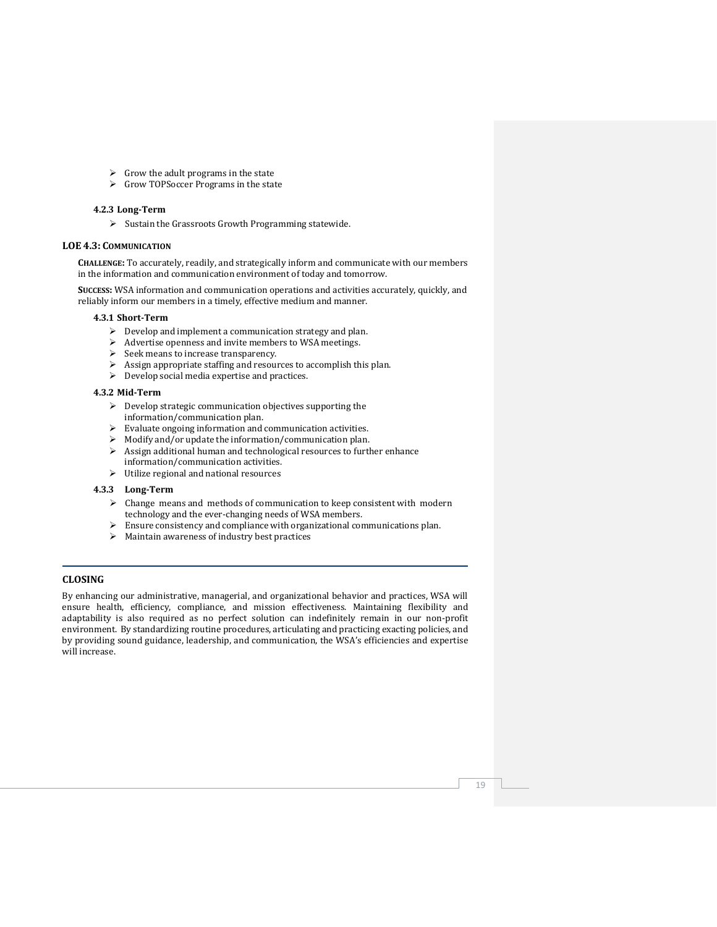- $\triangleright$  Grow the adult programs in the state
- ➢ Grow TOPSoccer Programs in the state

#### **4.2.3 Long-Term**

➢ Sustain the Grassroots Growth Programming statewide.

# **LOE 4.3: COMMUNICATION**

**CHALLENGE:** To accurately, readily, and strategically inform and communicate with our members in the information and communication environment of today and tomorrow.

**SUCCESS:** WSA information and communication operations and activities accurately, quickly, and reliably inform our members in a timely, effective medium and manner.

#### **4.3.1 Short-Term**

- $\triangleright$  Develop and implement a communication strategy and plan.
- ➢ Advertise openness and invite members to WSA meetings.
- ➢ Seek means to increase transparency.
- $\triangleright$  Assign appropriate staffing and resources to accomplish this plan.
- ➢ Develop social media expertise and practices.

# **4.3.2 Mid-Term**

- ➢ Develop strategic communication objectives supporting the information/communication plan.
- ➢ Evaluate ongoing information and communication activities.
- ➢ Modify and/or update the information/communication plan.
- ➢ Assign additional human and technological resources to further enhance information/communication activities.
- ➢ Utilize regional and national resources

#### **4.3.3 Long-Term**

- ➢ Change means and methods of communication to keep consistent with modern technology and the ever-changing needs of WSA members.
- ➢ Ensure consistency and compliance with organizational communications plan.
- ➢ Maintain awareness of industry best practices

# **CLOSING**

By enhancing our administrative, managerial, and organizational behavior and practices, WSA will ensure health, efficiency, compliance, and mission effectiveness. Maintaining flexibility and adaptability is also required as no perfect solution can indefinitely remain in our non-profit environment. By standardizing routine procedures, articulating and practicing exacting policies, and by providing sound guidance, leadership, and communication, the WSA's efficiencies and expertise will increase.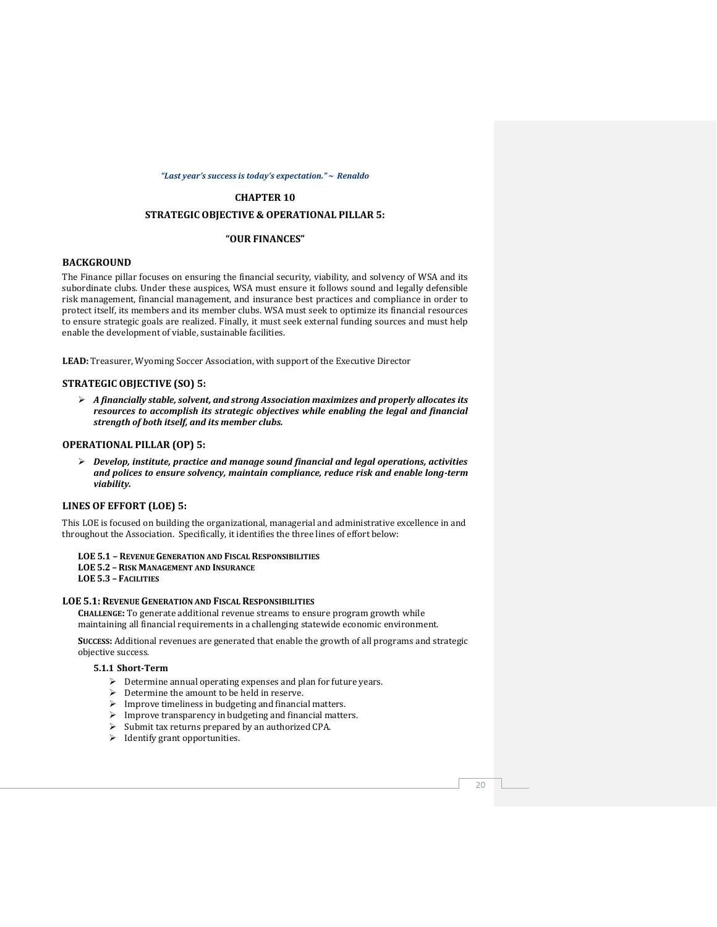#### *"Last year's success is today's expectation." ~ Renaldo*

#### **CHAPTER 10**

# **STRATEGIC OBJECTIVE & OPERATIONAL PILLAR 5:**

#### **"OUR FINANCES"**

#### **BACKGROUND**

The Finance pillar focuses on ensuring the financial security, viability, and solvency of WSA and its subordinate clubs. Under these auspices, WSA must ensure it follows sound and legally defensible risk management, financial management, and insurance best practices and compliance in order to protect itself, its members and its member clubs. WSA must seek to optimize its financial resources to ensure strategic goals are realized. Finally, it must seek external funding sources and must help enable the development of viable, sustainable facilities.

**LEAD:** Treasurer, Wyoming Soccer Association, with support of the Executive Director

### **STRATEGIC OBJECTIVE (SO) 5:**

➢ *A financially stable, solvent, and strong Association maximizes and properly allocates its resources to accomplish its strategic objectives while enabling the legal and financial strength of both itself, and its member clubs.*

#### **OPERATIONAL PILLAR (OP) 5:**

➢ *Develop, institute, practice and manage sound financial and legal operations, activities and polices to ensure solvency, maintain compliance, reduce risk and enable long-term viability.*

#### **LINES OF EFFORT (LOE) 5:**

This LOE is focused on building the organizational, managerial and administrative excellence in and throughout the Association. Specifically, it identifies the three lines of effort below:

#### **LOE 5.1 – REVENUE GENERATION AND FISCAL RESPONSIBILITIES**

- **LOE 5.2 –RISK MANAGEMENT AND INSURANCE**
- **LOE 5.3 – FACILITIES**

#### **LOE 5.1: REVENUE GENERATION AND FISCAL RESPONSIBILITIES**

**CHALLENGE:** To generate additional revenue streams to ensure program growth while maintaining all financial requirements in a challenging statewide economic environment.

**SUCCESS:** Additional revenues are generated that enable the growth of all programs and strategic objective success.

# **5.1.1 Short-Term**

- ➢ Determine annual operating expenses and plan for future years.
- $\triangleright$  Determine the amount to be held in reserve.
- ➢ Improve timeliness in budgeting and financial matters.
- ➢ Improve transparency in budgeting and financial matters.
- $\triangleright$  Submit tax returns prepared by an authorized CPA.
- ➢ Identify grant opportunities.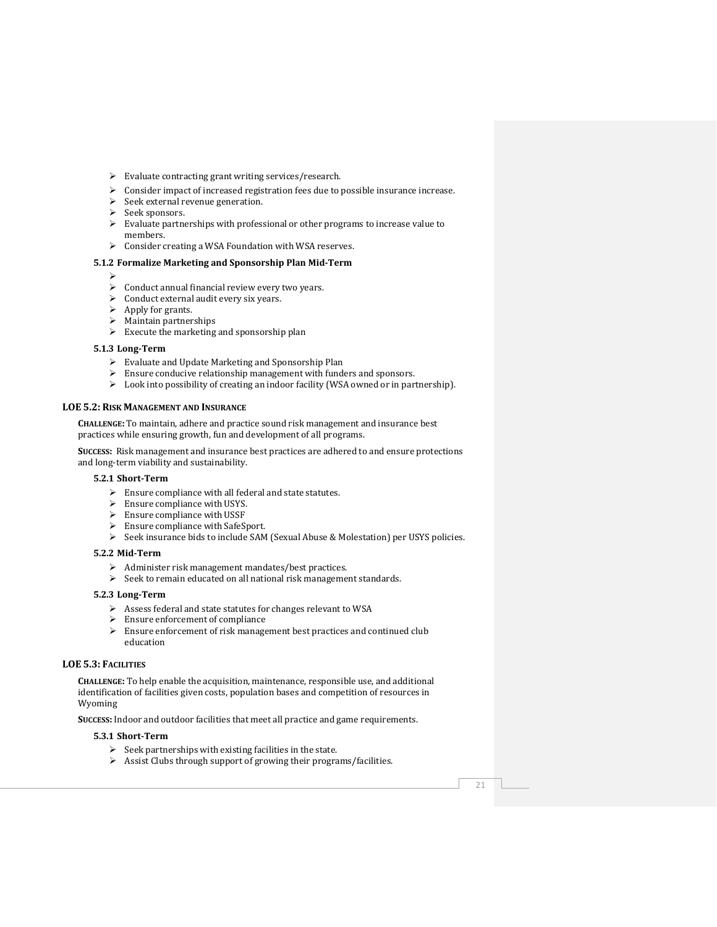- ➢ Evaluate contracting grant writing services/research.
- ➢ Consider impact of increased registration fees due to possible insurance increase.
- ➢ Seek external revenue generation.
- ➢ Seek sponsors.
- ➢ Evaluate partnerships with professional or other programs to increase value to members.
- ➢ Consider creating a WSA Foundation with WSA reserves.

# **5.1.2 Formalize Marketing and Sponsorship Plan Mid-Term**

- ➢
- $\triangleright$  Conduct annual financial review every two years.
- $\triangleright$  Conduct external audit every six years.
- ➢ Apply for grants.
- ➢ Maintain partnerships
- ➢ Execute the marketing and sponsorship plan

### **5.1.3 Long-Term**

- ➢ Evaluate and Update Marketing and Sponsorship Plan
- ➢ Ensure conducive relationship management with funders and sponsors.
- ➢ Look into possibility of creating an indoor facility (WSA owned or in partnership).

#### **LOE 5.2: RISK MANAGEMENT AND INSURANCE**

**CHALLENGE:** To maintain, adhere and practice sound risk management and insurance best practices while ensuring growth, fun and development of all programs.

**SUCCESS:** Risk management and insurance best practices are adhered to and ensure protections and long-term viability and sustainability.

#### **5.2.1 Short-Term**

- $\blacktriangleright$  Ensure compliance with all federal and state statutes.
- ➢ Ensure compliance with USYS.
- ➢ Ensure compliance with USSF
- ➢ Ensure compliance with SafeSport.
- ➢ Seek insurance bids to include SAM (Sexual Abuse & Molestation) per USYS policies.

#### **5.2.2 Mid-Term**

- ➢ Administer risk management mandates/best practices.
- $\triangleright$  Seek to remain educated on all national risk management standards.

#### **5.2.3 Long-Term**

- ➢ Assess federal and state statutes for changes relevant to WSA
- $\geq$  Ensure enforcement of compliance<br> $\geq$  Ensure enforcement of risk manage
- Ensure enforcement of risk management best practices and continued club education

# **LOE 5.3: FACILITIES**

**CHALLENGE:** To help enable the acquisition, maintenance, responsible use, and additional identification of facilities given costs, population bases and competition of resources in Wyoming

**SUCCESS:** Indoor and outdoor facilities that meet all practice and game requirements.

#### **5.3.1 Short-Term**

- ➢ Seek partnerships with existing facilities in the state.
- ➢ Assist Clubs through support of growing their programs/facilities.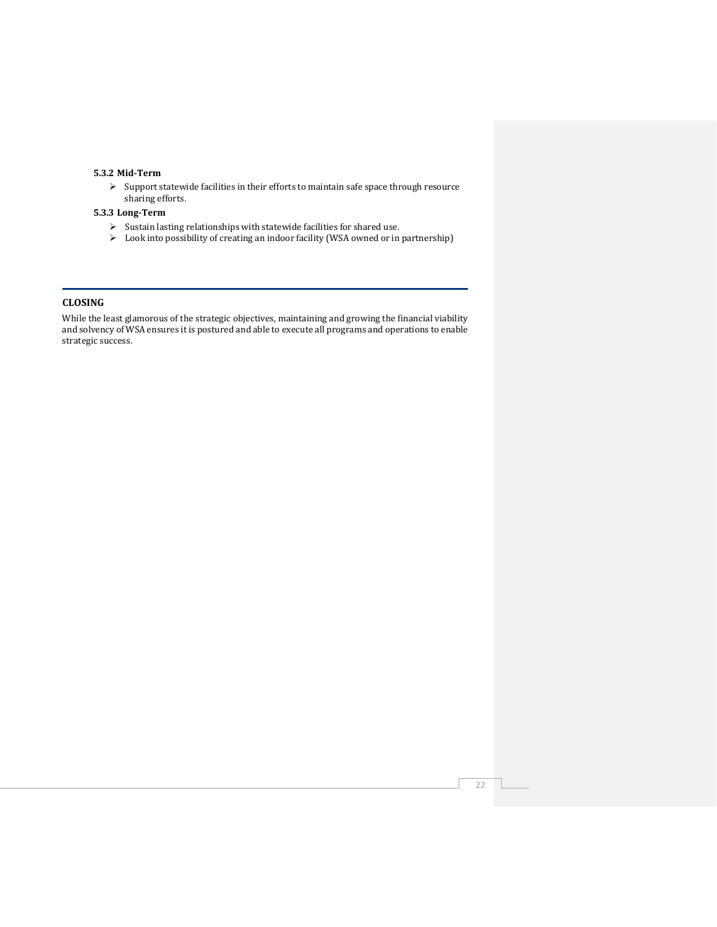# **5.3.2 Mid-Term**

➢ Support statewide facilities in their efforts to maintain safe space through resource sharing efforts.

#### **5.3.3 Long-Term**

- $\blacktriangleright$  Sustain lasting relationships with statewide facilities for shared use.
- ➢ Look into possibility of creating an indoor facility (WSA owned or in partnership)

# **CLOSING**

While the least glamorous of the strategic objectives, maintaining and growing the financial viability and solvency of WSA ensures it is postured and able to execute all programs and operations to enable strategic success.